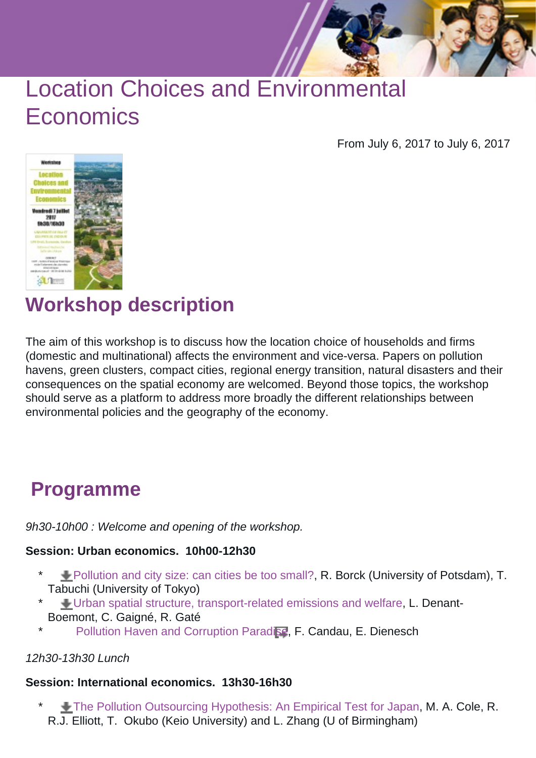# Location Choices and Environmental **Economics**

From July 6, 2017 to July 6, 2017



**Workshop description**

The aim of this workshop is to discuss how the location choice of households and firms (domestic and multinational) affects the environment and vice-versa. Papers on pollution havens, green clusters, compact cities, regional energy transition, natural disasters and their consequences on the spatial economy are welcomed. Beyond those topics, the workshop should serve as a platform to address more broadly the different relationships between environmental policies and the geography of the economy.

### **Programme**

9h30-10h00 : Welcome and opening of the workshop.

#### **Session: Urban economics. 10h00-12h30**

- \* [Pollution and city size: can cities be too small?,](https://cms-ametys.univ-pau.fr/cms/_web/catt/_attachments/juillet-2017-location-choices-and-environmental-economics-actualite/Pollution%2520and%2520city%2520size%2520can%2520cities%2520be%2520too%2520small.pdf?download=true) R. Borck (University of Potsdam), T. Tabuchi (University of Tokyo)
- \* [Urban spatial structure, transport-related emissions and welfare](https://cms-ametys.univ-pau.fr/cms/_web/catt/_attachments/juillet-2017-location-choices-and-environmental-economics-actualite/Urban%2520spatial%2520structure%2520transport-related%2520emissions%2520and%2520welfare.pdf?download=true), L. Denant-Boemont, C. Gaigné, R. Gaté
- [Pollution Haven and Corruption Paradise,](http://www.freit.org/WorkingPapers/Papers/ForeignInvestment/FREIT925.pdf) F. Candau, E. Dienesch

#### 12h30-13h30 Lunch

#### **Session: International economics. 13h30-16h30**

\* [The Pollution Outsourcing Hypothesis: An Empirical Test for Japan,](https://cms-ametys.univ-pau.fr/cms/_web/catt/_attachments/juillet-2017-location-choices-and-environmental-economics-actualite/The%2520Pollution%2520Outsourcing%2520Hypothesis%2520An%2520Empirical%2520Test%2520for%2520Japan.pdf?download=true) M. A. Cole, R. R.J. Elliott, T. Okubo (Keio University) and L. Zhang (U of Birmingham)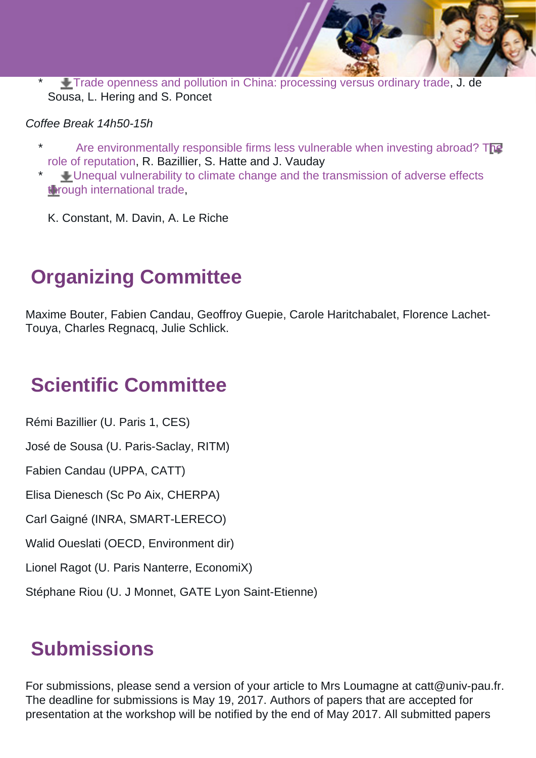\* [Trade openness and pollution in China: processing versus ordinary trade,](https://cms-ametys.univ-pau.fr/cms/_web/catt/_attachments/juillet-2017-location-choices-and-environmental-economics-actualite/Trade%2520openness%2520and%2520pollution%2520in%2520China%2520processing%2520versus%2520ordinary%2520trade.pdf?download=true) J. de Sousa, L. Hering and S. Poncet

#### Coffee Break 14h50-15h

- [Are environmentally responsible firms less vulnerable when investing abroad? The](http://www.sciencedirect.com/science/article/pii/S0147596716301007) [role of reputation,](http://www.sciencedirect.com/science/article/pii/S0147596716301007) R. Bazillier, S. Hatte and J. Vauday
- \* [Unequal vulnerability to climate change and the transmission of adverse effects](https://cms-ametys.univ-pau.fr/cms/_web/catt/_attachments/juillet-2017-location-choices-and-environmental-economics-actualite/Unequal%2520vulnerability%2520to%2520climate%2520change%2520and%2520the%2520transmission%2520of%2520adverse%2520effects%2520through%2520international%2520trade.pdf?download=true) [through international trade,](https://cms-ametys.univ-pau.fr/cms/_web/catt/_attachments/juillet-2017-location-choices-and-environmental-economics-actualite/Unequal%2520vulnerability%2520to%2520climate%2520change%2520and%2520the%2520transmission%2520of%2520adverse%2520effects%2520through%2520international%2520trade.pdf?download=true)
	- K. Constant, M. Davin, A. Le Riche

### **Organizing Committee**

Maxime Bouter, Fabien Candau, Geoffroy Guepie, Carole Haritchabalet, Florence Lachet-Touya, Charles Regnacq, Julie Schlick.

### **Scientific Committee**

Rémi Bazillier (U. Paris 1, CES)

José de Sousa (U. Paris-Saclay, RITM)

Fabien Candau (UPPA, CATT)

Elisa Dienesch (Sc Po Aix, CHERPA)

Carl Gaigné (INRA, SMART-LERECO)

Walid Oueslati (OECD, Environment dir)

Lionel Ragot (U. Paris Nanterre, EconomiX)

Stéphane Riou (U. J Monnet, GATE Lyon Saint-Etienne)

## **Submissions**

For submissions, please send a version of your article to Mrs Loumagne at catt@univ-pau.fr. The deadline for submissions is May 19, 2017. Authors of papers that are accepted for presentation at the workshop will be notified by the end of May 2017. All submitted papers